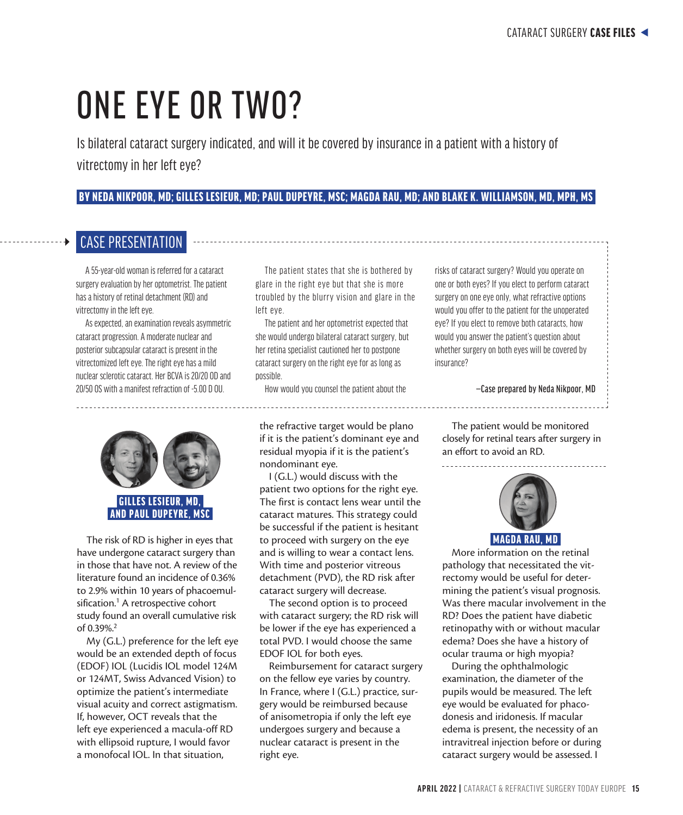# ONE EYE OR TWO?

Is bilateral cataract surgery indicated, and will it be covered by insurance in a patient with a history of vitrectomy in her left eye?

### BY NEDA NIKPOOR, MD; GILLES LESIEUR, MD; PAUL DUPEYRE, MSC; MAGDA RAU, MD; AND BLAKE K. WILLIAMSON, MD, MPH, MS

## CASE PRESENTATION

A 55-year-old woman is referred for a cataract surgery evaluation by her optometrist. The patient has a history of retinal detachment (RD) and vitrectomy in the left eye.

As expected, an examination reveals asymmetric cataract progression. A moderate nuclear and posterior subcapsular cataract is present in the vitrectomized left eye. The right eye has a mild nuclear sclerotic cataract. Her BCVA is 20/20 OD and 20/50 OS with a manifest refraction of -5.00 D OU.



AND PAUL DUPEYRE, MSC

The risk of RD is higher in eyes that have undergone cataract surgery than in those that have not. A review of the literature found an incidence of 0.36% to 2.9% within 10 years of phacoemulsification.<sup>1</sup> A retrospective cohort study found an overall cumulative risk of 0.39%.2

My (G.L.) preference for the left eye would be an extended depth of focus (EDOF) IOL (Lucidis IOL model 124M or 124MT, Swiss Advanced Vision) to optimize the patient's intermediate visual acuity and correct astigmatism. If, however, OCT reveals that the left eye experienced a macula-off RD with ellipsoid rupture, I would favor a monofocal IOL. In that situation,

The patient states that she is bothered by glare in the right eye but that she is more troubled by the blurry vision and glare in the left eye.

The patient and her optometrist expected that she would undergo bilateral cataract surgery, but her retina specialist cautioned her to postpone cataract surgery on the right eye for as long as possible.

How would you counsel the patient about the

the refractive target would be plano if it is the patient's dominant eye and residual myopia if it is the patient's nondominant eye.

I (G.L.) would discuss with the patient two options for the right eye. The first is contact lens wear until the cataract matures. This strategy could be successful if the patient is hesitant to proceed with surgery on the eye and is willing to wear a contact lens. With time and posterior vitreous detachment (PVD), the RD risk after cataract surgery will decrease.

The second option is to proceed with cataract surgery; the RD risk will be lower if the eye has experienced a total PVD. I would choose the same EDOF IOL for both eyes.

Reimbursement for cataract surgery on the fellow eye varies by country. In France, where I (G.L.) practice, surgery would be reimbursed because of anisometropia if only the left eye undergoes surgery and because a nuclear cataract is present in the right eye.

risks of cataract surgery? Would you operate on one or both eyes? If you elect to perform cataract surgery on one eye only, what refractive options would you offer to the patient for the unoperated eye? If you elect to remove both cataracts, how would you answer the patient's question about whether surgery on both eyes will be covered by insurance?

#### —Case prepared by Neda Nikpoor, MD

The patient would be monitored closely for retinal tears after surgery in an effort to avoid an RD.



More information on the retinal pathology that necessitated the vitrectomy would be useful for determining the patient's visual prognosis. Was there macular involvement in the RD? Does the patient have diabetic retinopathy with or without macular edema? Does she have a history of ocular trauma or high myopia?

During the ophthalmologic examination, the diameter of the pupils would be measured. The left eye would be evaluated for phacodonesis and iridonesis. If macular edema is present, the necessity of an intravitreal injection before or during cataract surgery would be assessed. I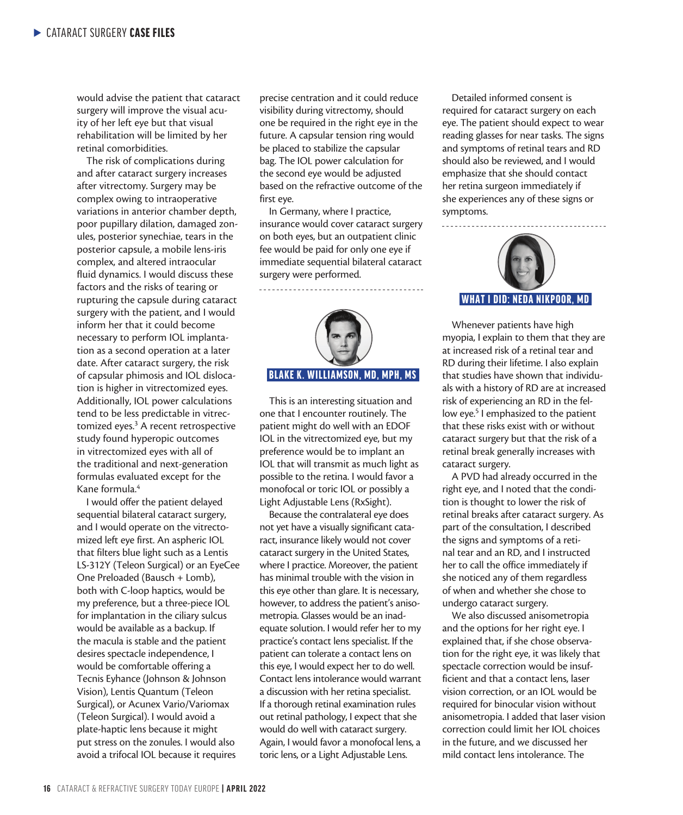would advise the patient that cataract surgery will improve the visual acuity of her left eye but that visual rehabilitation will be limited by her retinal comorbidities.

The risk of complications during and after cataract surgery increases after vitrectomy. Surgery may be complex owing to intraoperative variations in anterior chamber depth, poor pupillary dilation, damaged zonules, posterior synechiae, tears in the posterior capsule, a mobile lens-iris complex, and altered intraocular fluid dynamics. I would discuss these factors and the risks of tearing or rupturing the capsule during cataract surgery with the patient, and I would inform her that it could become necessary to perform IOL implantation as a second operation at a later date. After cataract surgery, the risk of capsular phimosis and IOL dislocation is higher in vitrectomized eyes. Additionally, IOL power calculations tend to be less predictable in vitrectomized eyes.<sup>3</sup> A recent retrospective study found hyperopic outcomes in vitrectomized eyes with all of the traditional and next-generation formulas evaluated except for the Kane formula.4

I would offer the patient delayed sequential bilateral cataract surgery, and I would operate on the vitrectomized left eye first. An aspheric IOL that filters blue light such as a Lentis LS-312Y (Teleon Surgical) or an EyeCee One Preloaded (Bausch + Lomb), both with C-loop haptics, would be my preference, but a three-piece IOL for implantation in the ciliary sulcus would be available as a backup. If the macula is stable and the patient desires spectacle independence, I would be comfortable offering a Tecnis Eyhance (Johnson & Johnson Vision), Lentis Quantum (Teleon Surgical), or Acunex Vario/Variomax (Teleon Surgical). I would avoid a plate-haptic lens because it might put stress on the zonules. I would also avoid a trifocal IOL because it requires

precise centration and it could reduce visibility during vitrectomy, should one be required in the right eye in the future. A capsular tension ring would be placed to stabilize the capsular bag. The IOL power calculation for the second eye would be adjusted based on the refractive outcome of the first eye.

In Germany, where I practice, insurance would cover cataract surgery on both eyes, but an outpatient clinic fee would be paid for only one eye if immediate sequential bilateral cataract surgery were performed.



This is an interesting situation and one that I encounter routinely. The patient might do well with an EDOF IOL in the vitrectomized eye, but my preference would be to implant an IOL that will transmit as much light as possible to the retina. I would favor a monofocal or toric IOL or possibly a Light Adjustable Lens (RxSight).

Because the contralateral eye does not yet have a visually significant cataract, insurance likely would not cover cataract surgery in the United States, where I practice. Moreover, the patient has minimal trouble with the vision in this eye other than glare. It is necessary, however, to address the patient's anisometropia. Glasses would be an inadequate solution. I would refer her to my practice's contact lens specialist. If the patient can tolerate a contact lens on this eye, I would expect her to do well. Contact lens intolerance would warrant a discussion with her retina specialist. If a thorough retinal examination rules out retinal pathology, I expect that she would do well with cataract surgery. Again, I would favor a monofocal lens, a toric lens, or a Light Adjustable Lens.

Detailed informed consent is required for cataract surgery on each eye. The patient should expect to wear reading glasses for near tasks. The signs and symptoms of retinal tears and RD should also be reviewed, and I would emphasize that she should contact her retina surgeon immediately if she experiences any of these signs or symptoms.



Whenever patients have high myopia, I explain to them that they are at increased risk of a retinal tear and RD during their lifetime. I also explain that studies have shown that individuals with a history of RD are at increased risk of experiencing an RD in the fellow eye.<sup>5</sup> I emphasized to the patient that these risks exist with or without cataract surgery but that the risk of a retinal break generally increases with cataract surgery.

A PVD had already occurred in the right eye, and I noted that the condition is thought to lower the risk of retinal breaks after cataract surgery. As part of the consultation, I described the signs and symptoms of a retinal tear and an RD, and I instructed her to call the office immediately if she noticed any of them regardless of when and whether she chose to undergo cataract surgery.

We also discussed anisometropia and the options for her right eye. I explained that, if she chose observation for the right eye, it was likely that spectacle correction would be insufficient and that a contact lens, laser vision correction, or an IOL would be required for binocular vision without anisometropia. I added that laser vision correction could limit her IOL choices in the future, and we discussed her mild contact lens intolerance. The